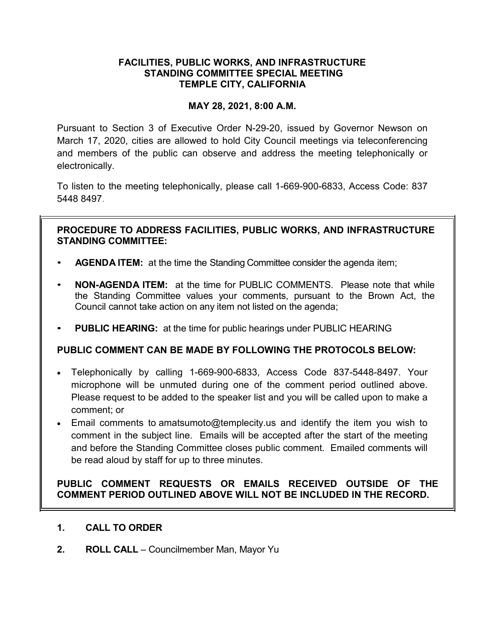# **FACILITIES, PUBLIC WORKS, AND INFRASTRUCTURE STANDING COMMITTEE SPECIAL MEETING TEMPLE CITY, CALIFORNIA**

# **MAY 28, 2021, 8:00 A.M.**

Pursuant to Section 3 of Executive Order N-29-20, issued by Governor Newson on March 17, 2020, cities are allowed to hold City Council meetings via teleconferencing and members of the public can observe and address the meeting telephonically or electronically.

To listen to the meeting telephonically, please call 1-669-900-6833, Access Code: 837 5448 8497.

# **PROCEDURE TO ADDRESS FACILITIES, PUBLIC WORKS, AND INFRASTRUCTURE STANDING COMMITTEE:**

- **AGENDA ITEM:** at the time the Standing Committee consider the agenda item;
- **NON-AGENDA ITEM:** at the time for PUBLIC COMMENTS. Please note that while the Standing Committee values your comments, pursuant to the Brown Act, the Council cannot take action on any item not listed on the agenda;
- **PUBLIC HEARING:** at the time for public hearings under PUBLIC HEARING

# **PUBLIC COMMENT CAN BE MADE BY FOLLOWING THE PROTOCOLS BELOW:**

- Telephonically by calling 1-669-900-6833, Access Code 837-5448-8497. Your microphone will be unmuted during one of the comment period outlined above. Please request to be added to the speaker list and you will be called upon to make a comment; or
- Email comments to amatsumoto@templecity.us and identify the item you wish to comment in the subject line. Emails will be accepted after the start of the meeting and before the Standing Committee closes public comment. Emailed comments will be read aloud by staff for up to three minutes.

# **PUBLIC COMMENT REQUESTS OR EMAILS RECEIVED OUTSIDE OF THE COMMENT PERIOD OUTLINED ABOVE WILL NOT BE INCLUDED IN THE RECORD.**

## **1. CALL TO ORDER**

**2. ROLL CALL** – Councilmember Man, Mayor Yu